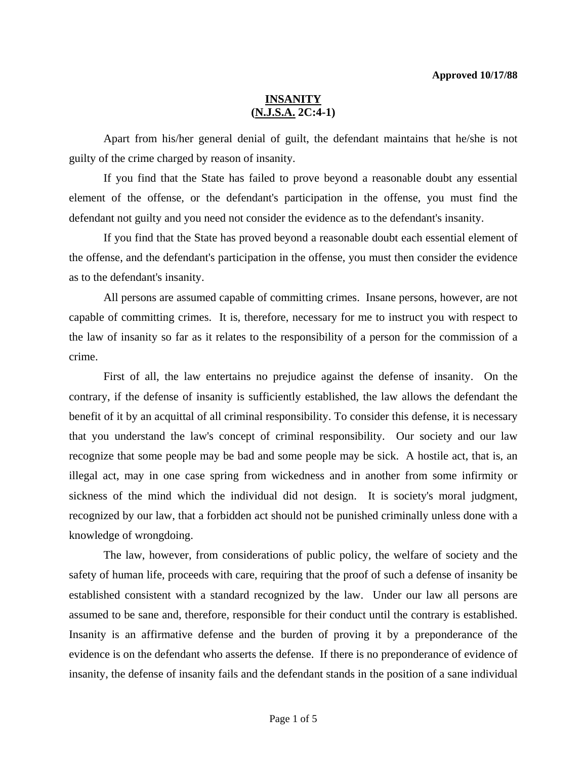Apart from his/her general denial of guilt, the defendant maintains that he/she is not guilty of the crime charged by reason of insanity.

 If you find that the State has failed to prove beyond a reasonable doubt any essential element of the offense, or the defendant's participation in the offense, you must find the defendant not guilty and you need not consider the evidence as to the defendant's insanity.

 If you find that the State has proved beyond a reasonable doubt each essential element of the offense, and the defendant's participation in the offense, you must then consider the evidence as to the defendant's insanity.

 All persons are assumed capable of committing crimes. Insane persons, however, are not capable of committing crimes. It is, therefore, necessary for me to instruct you with respect to the law of insanity so far as it relates to the responsibility of a person for the commission of a crime.

 First of all, the law entertains no prejudice against the defense of insanity. On the contrary, if the defense of insanity is sufficiently established, the law allows the defendant the benefit of it by an acquittal of all criminal responsibility. To consider this defense, it is necessary that you understand the law's concept of criminal responsibility. Our society and our law recognize that some people may be bad and some people may be sick. A hostile act, that is, an illegal act, may in one case spring from wickedness and in another from some infirmity or sickness of the mind which the individual did not design. It is society's moral judgment, recognized by our law, that a forbidden act should not be punished criminally unless done with a knowledge of wrongdoing.

 The law, however, from considerations of public policy, the welfare of society and the safety of human life, proceeds with care, requiring that the proof of such a defense of insanity be established consistent with a standard recognized by the law. Under our law all persons are assumed to be sane and, therefore, responsible for their conduct until the contrary is established. Insanity is an affirmative defense and the burden of proving it by a preponderance of the evidence is on the defendant who asserts the defense. If there is no preponderance of evidence of insanity, the defense of insanity fails and the defendant stands in the position of a sane individual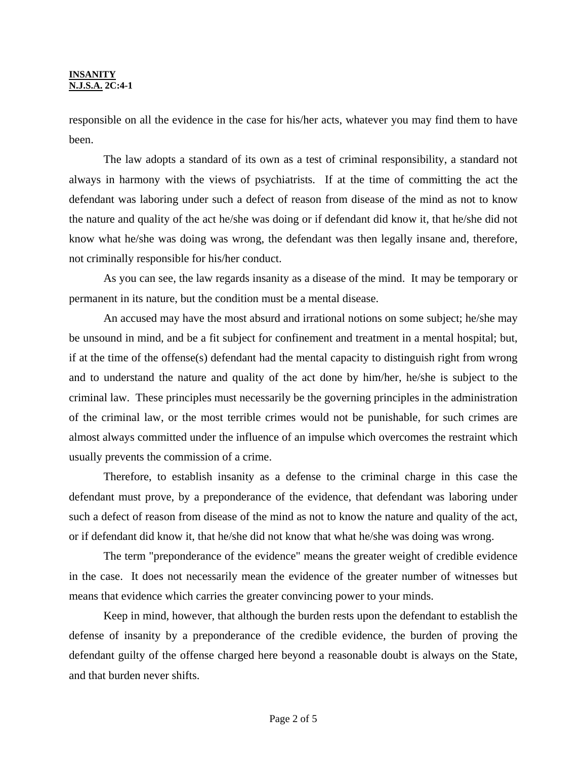responsible on all the evidence in the case for his/her acts, whatever you may find them to have been.

 The law adopts a standard of its own as a test of criminal responsibility, a standard not always in harmony with the views of psychiatrists. If at the time of committing the act the defendant was laboring under such a defect of reason from disease of the mind as not to know the nature and quality of the act he/she was doing or if defendant did know it, that he/she did not know what he/she was doing was wrong, the defendant was then legally insane and, therefore, not criminally responsible for his/her conduct.

 As you can see, the law regards insanity as a disease of the mind. It may be temporary or permanent in its nature, but the condition must be a mental disease.

 An accused may have the most absurd and irrational notions on some subject; he/she may be unsound in mind, and be a fit subject for confinement and treatment in a mental hospital; but, if at the time of the offense(s) defendant had the mental capacity to distinguish right from wrong and to understand the nature and quality of the act done by him/her, he/she is subject to the criminal law. These principles must necessarily be the governing principles in the administration of the criminal law, or the most terrible crimes would not be punishable, for such crimes are almost always committed under the influence of an impulse which overcomes the restraint which usually prevents the commission of a crime.

 Therefore, to establish insanity as a defense to the criminal charge in this case the defendant must prove, by a preponderance of the evidence, that defendant was laboring under such a defect of reason from disease of the mind as not to know the nature and quality of the act, or if defendant did know it, that he/she did not know that what he/she was doing was wrong.

 The term "preponderance of the evidence" means the greater weight of credible evidence in the case. It does not necessarily mean the evidence of the greater number of witnesses but means that evidence which carries the greater convincing power to your minds.

 Keep in mind, however, that although the burden rests upon the defendant to establish the defense of insanity by a preponderance of the credible evidence, the burden of proving the defendant guilty of the offense charged here beyond a reasonable doubt is always on the State, and that burden never shifts.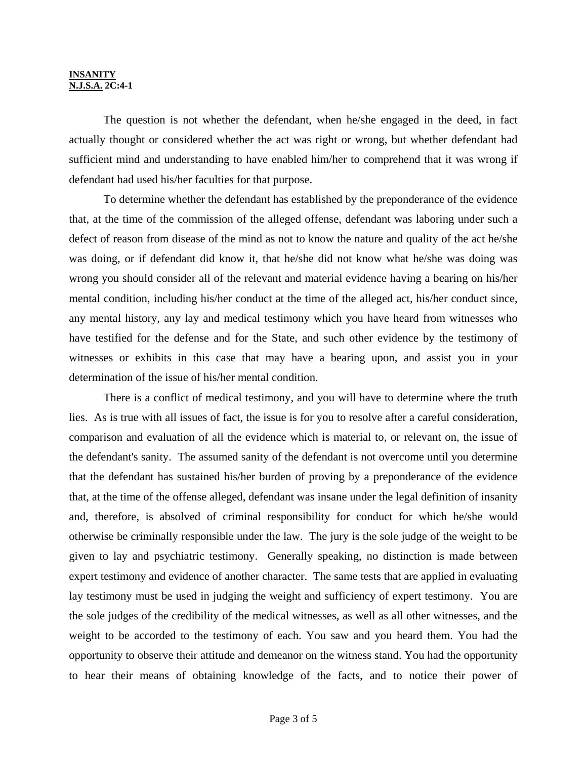The question is not whether the defendant, when he/she engaged in the deed, in fact actually thought or considered whether the act was right or wrong, but whether defendant had sufficient mind and understanding to have enabled him/her to comprehend that it was wrong if defendant had used his/her faculties for that purpose.

 To determine whether the defendant has established by the preponderance of the evidence that, at the time of the commission of the alleged offense, defendant was laboring under such a defect of reason from disease of the mind as not to know the nature and quality of the act he/she was doing, or if defendant did know it, that he/she did not know what he/she was doing was wrong you should consider all of the relevant and material evidence having a bearing on his/her mental condition, including his/her conduct at the time of the alleged act, his/her conduct since, any mental history, any lay and medical testimony which you have heard from witnesses who have testified for the defense and for the State, and such other evidence by the testimony of witnesses or exhibits in this case that may have a bearing upon, and assist you in your determination of the issue of his/her mental condition.

 There is a conflict of medical testimony, and you will have to determine where the truth lies. As is true with all issues of fact, the issue is for you to resolve after a careful consideration, comparison and evaluation of all the evidence which is material to, or relevant on, the issue of the defendant's sanity. The assumed sanity of the defendant is not overcome until you determine that the defendant has sustained his/her burden of proving by a preponderance of the evidence that, at the time of the offense alleged, defendant was insane under the legal definition of insanity and, therefore, is absolved of criminal responsibility for conduct for which he/she would otherwise be criminally responsible under the law. The jury is the sole judge of the weight to be given to lay and psychiatric testimony. Generally speaking, no distinction is made between expert testimony and evidence of another character. The same tests that are applied in evaluating lay testimony must be used in judging the weight and sufficiency of expert testimony. You are the sole judges of the credibility of the medical witnesses, as well as all other witnesses, and the weight to be accorded to the testimony of each. You saw and you heard them. You had the opportunity to observe their attitude and demeanor on the witness stand. You had the opportunity to hear their means of obtaining knowledge of the facts, and to notice their power of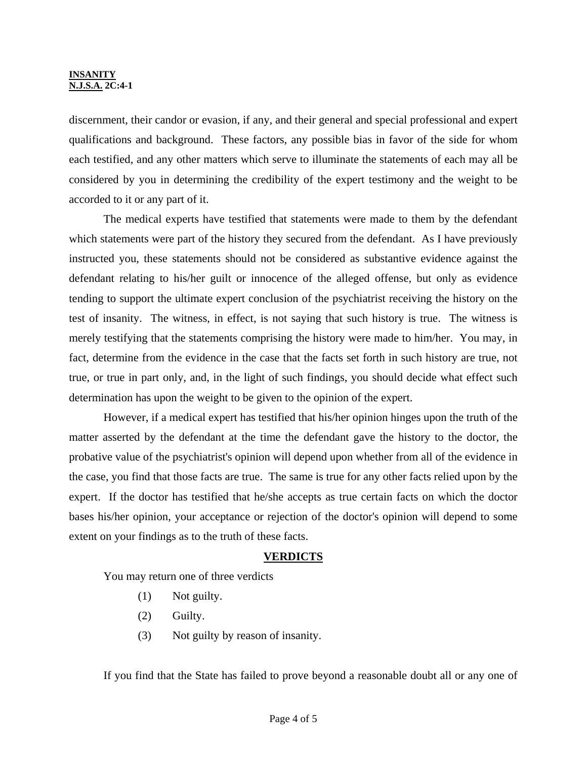discernment, their candor or evasion, if any, and their general and special professional and expert qualifications and background. These factors, any possible bias in favor of the side for whom each testified, and any other matters which serve to illuminate the statements of each may all be considered by you in determining the credibility of the expert testimony and the weight to be accorded to it or any part of it.

 The medical experts have testified that statements were made to them by the defendant which statements were part of the history they secured from the defendant. As I have previously instructed you, these statements should not be considered as substantive evidence against the defendant relating to his/her guilt or innocence of the alleged offense, but only as evidence tending to support the ultimate expert conclusion of the psychiatrist receiving the history on the test of insanity. The witness, in effect, is not saying that such history is true. The witness is merely testifying that the statements comprising the history were made to him/her. You may, in fact, determine from the evidence in the case that the facts set forth in such history are true, not true, or true in part only, and, in the light of such findings, you should decide what effect such determination has upon the weight to be given to the opinion of the expert.

 However, if a medical expert has testified that his/her opinion hinges upon the truth of the matter asserted by the defendant at the time the defendant gave the history to the doctor, the probative value of the psychiatrist's opinion will depend upon whether from all of the evidence in the case, you find that those facts are true. The same is true for any other facts relied upon by the expert. If the doctor has testified that he/she accepts as true certain facts on which the doctor bases his/her opinion, your acceptance or rejection of the doctor's opinion will depend to some extent on your findings as to the truth of these facts.

# **VERDICTS**

You may return one of three verdicts

- (1) Not guilty.
- (2) Guilty.
- (3) Not guilty by reason of insanity.

If you find that the State has failed to prove beyond a reasonable doubt all or any one of